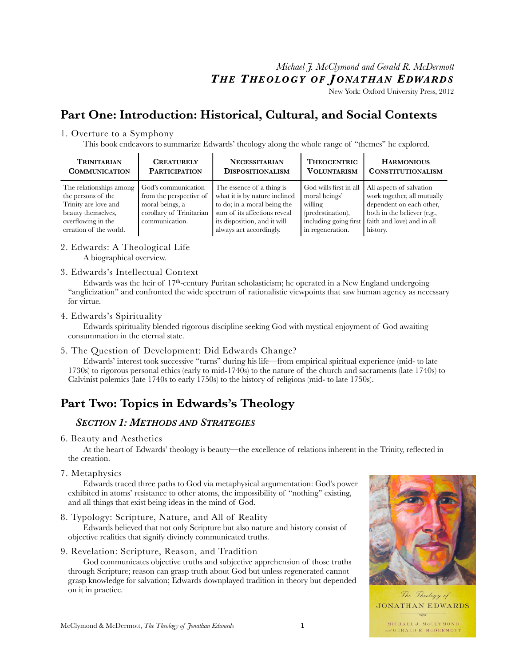## *Michael J. McClymond and Gerald R. McDermott T H E T HEOLOGY O F J ONATHAN EDWARDS*

New York: Oxford University Press, 2012

# **Part One: Introduction: Historical, Cultural, and Social Contexts**

## 1. Overture to a Symphony

This book endeavors to summarize Edwards' theology along the whole range of "themes" he explored.

| <b>TRINITARIAN</b>                                                                                                                          | <b>CREATURELY</b>                                                                                               | <b>NECESSITARIAN</b>                                                                                                                                                                 | <b>THEOCENTRIC</b>                                                                          | <b>HARMONIOUS</b>                                                                                                                                                                    |
|---------------------------------------------------------------------------------------------------------------------------------------------|-----------------------------------------------------------------------------------------------------------------|--------------------------------------------------------------------------------------------------------------------------------------------------------------------------------------|---------------------------------------------------------------------------------------------|--------------------------------------------------------------------------------------------------------------------------------------------------------------------------------------|
| <b>COMMUNICATION</b>                                                                                                                        | <b>PARTICIPATION</b>                                                                                            | <b>DISPOSITIONALISM</b>                                                                                                                                                              | <b>VOLUNTARISM</b>                                                                          | <b>CONSTITUTIONALISM</b>                                                                                                                                                             |
| The relationships among<br>the persons of the<br>Trinity are love and<br>beauty themselves.<br>overflowing in the<br>creation of the world. | God's communication<br>from the perspective of<br>moral beings, a<br>corollary of Trinitarian<br>communication. | The essence of a thing is<br>what it is by nature inclined<br>to do; in a moral being the<br>sum of its affections reveal<br>its disposition, and it will<br>always act accordingly. | God wills first in all<br>moral beings'<br>willing<br>(predestination),<br>in regeneration. | All aspects of salvation<br>work together, all mutually<br>dependent on each other.<br>both in the believer (e.g.,<br>including going first   faith and love) and in all<br>history. |

## 2. Edwards: A Theological Life

A biographical overview.

## 3. Edwards's Intellectual Context

Edwards was the heir of  $17<sup>th</sup>$ -century Puritan scholasticism; he operated in a New England undergoing "anglicization" and confronted the wide spectrum of rationalistic viewpoints that saw human agency as necessary for virtue.

#### 4. Edwards's Spirituality

Edwards spirituality blended rigorous discipline seeking God with mystical enjoyment of God awaiting consummation in the eternal state.

## 5. The Question of Development: Did Edwards Change?

Edwards' interest took successive "turns" during his life—from empirical spiritual experience (mid- to late 1730s) to rigorous personal ethics (early to mid-1740s) to the nature of the church and sacraments (late 1740s) to Calvinist polemics (late 1740s to early 1750s) to the history of religions (mid- to late 1750s).

# **Part Two: Topics in Edwards's Theology**

## *SECTION 1: METHODS AND STRATEGIES*

6. Beauty and Aesthetics

At the heart of Edwards' theology is beauty—the excellence of relations inherent in the Trinity, reflected in the creation.

7. Metaphysics

Edwards traced three paths to God via metaphysical argumentation: God's power exhibited in atoms' resistance to other atoms, the impossibility of "nothing" existing, and all things that exist being ideas in the mind of God.

8. Typology: Scripture, Nature, and All of Reality

Edwards believed that not only Scripture but also nature and history consist of objective realities that signify divinely communicated truths.

#### 9. Revelation: Scripture, Reason, and Tradition

God communicates objective truths and subjective apprehension of those truths through Scripture; reason can grasp truth about God but unless regenerated cannot grasp knowledge for salvation; Edwards downplayed tradition in theory but depended on it in practice.



The Theology of **JONATHAN EDWARDS**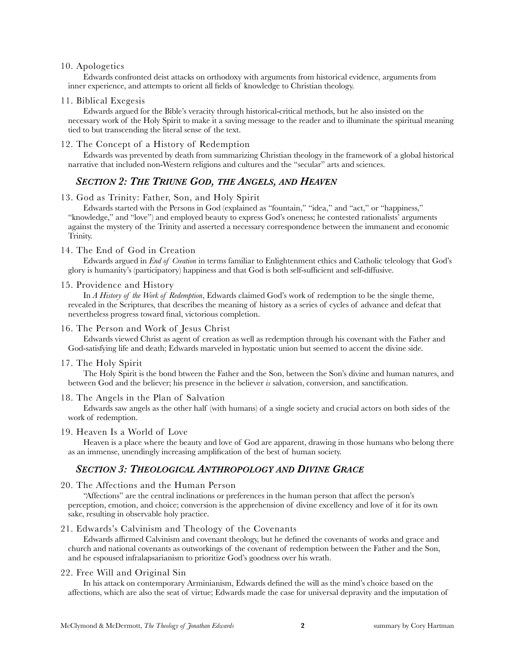#### 10. Apologetics

Edwards confronted deist attacks on orthodoxy with arguments from historical evidence, arguments from inner experience, and attempts to orient all fields of knowledge to Christian theology.

#### 11. Biblical Exegesis

Edwards argued for the Bible's veracity through historical-critical methods, but he also insisted on the necessary work of the Holy Spirit to make it a saving message to the reader and to illuminate the spiritual meaning tied to but transcending the literal sense of the text.

#### 12. The Concept of a History of Redemption

Edwards was prevented by death from summarizing Christian theology in the framework of a global historical narrative that included non-Western religions and cultures and the "secular" arts and sciences.

## *SECTION 2: THE TRIUNE GOD, THE ANGELS, AND HEAVEN*

#### 13. God as Trinity: Father, Son, and Holy Spirit

Edwards started with the Persons in God (explained as "fountain," "idea," and "act," or "happiness," "knowledge," and "love") and employed beauty to express God's oneness; he contested rationalists' arguments against the mystery of the Trinity and asserted a necessary correspondence between the immanent and economic Trinity.

#### 14. The End of God in Creation

Edwards argued in *End of Creation* in terms familiar to Enlightenment ethics and Catholic teleology that God's glory is humanity's (participatory) happiness and that God is both self-sufficient and self-diffusive.

#### 15. Providence and History

In *A History of the Work of Redemption*, Edwards claimed God's work of redemption to be the single theme, revealed in the Scriptures, that describes the meaning of history as a series of cycles of advance and defeat that nevertheless progress toward final, victorious completion.

#### 16. The Person and Work of Jesus Christ

Edwards viewed Christ as agent of creation as well as redemption through his covenant with the Father and God-satisfying life and death; Edwards marveled in hypostatic union but seemed to accent the divine side.

#### 17. The Holy Spirit

The Holy Spirit is the bond btween the Father and the Son, between the Son's divine and human natures, and between God and the believer; his presence in the believer *is* salvation, conversion, and sanctification.

#### 18. The Angels in the Plan of Salvation

Edwards saw angels as the other half (with humans) of a single society and crucial actors on both sides of the work of redemption.

#### 19. Heaven Is a World of Love

Heaven is a place where the beauty and love of God are apparent, drawing in those humans who belong there as an immense, unendingly increasing amplification of the best of human society.

## *SECTION 3: THEOLOGICAL ANTHROPOLOGY AND DIVINE GRACE*

#### 20. The Affections and the Human Person

"Affections" are the central inclinations or preferences in the human person that affect the person's perception, emotion, and choice; conversion is the apprehension of divine excellency and love of it for its own sake, resulting in observable holy practice.

#### 21. Edwards's Calvinism and Theology of the Covenants

Edwards affirmed Calvinism and covenant theology, but he defined the covenants of works and grace and church and national covenants as outworkings of the covenant of redemption between the Father and the Son, and he espoused infralapsarianism to prioritize God's goodness over his wrath.

#### 22. Free Will and Original Sin

In his attack on contemporary Arminianism, Edwards defined the will as the mind's choice based on the affections, which are also the seat of virtue; Edwards made the case for universal depravity and the imputation of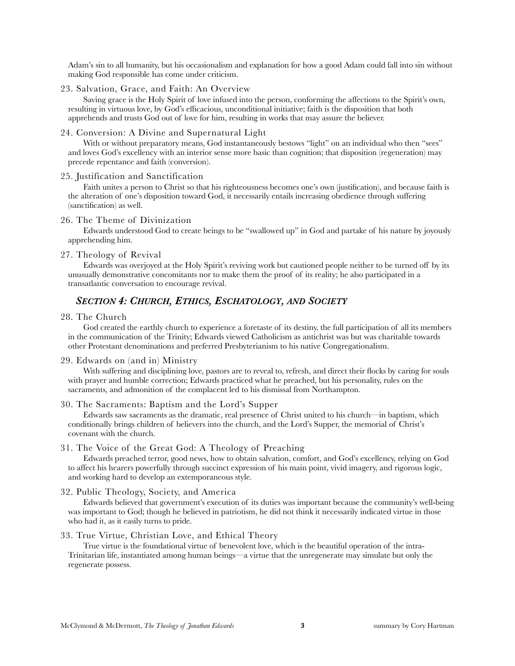Adam's sin to all humanity, but his occasionalism and explanation for how a good Adam could fall into sin without making God responsible has come under criticism.

#### 23. Salvation, Grace, and Faith: An Overview

Saving grace is the Holy Spirit of love infused into the person, conforming the affections to the Spirit's own, resulting in virtuous love, by God's efficacious, unconditional initiative; faith is the disposition that both apprehends and trusts God out of love for him, resulting in works that may assure the believer.

#### 24. Conversion: A Divine and Supernatural Light

With or without preparatory means, God instantaneously bestows "light" on an individual who then "sees" and loves God's excellency with an interior sense more basic than cognition; that disposition (regeneration) may precede repentance and faith (conversion).

#### 25. Justification and Sanctification

Faith unites a person to Christ so that his righteousness becomes one's own (justification), and because faith is the alteration of one's disposition toward God, it necessarily entails increasing obedience through suffering (sanctification) as well.

#### 26. The Theme of Divinization

Edwards understood God to create beings to be "swallowed up" in God and partake of his nature by joyously apprehending him.

#### 27. Theology of Revival

Edwards was overjoyed at the Holy Spirit's reviving work but cautioned people neither to be turned off by its unusually demonstrative concomitants nor to make them the proof of its reality; he also participated in a transatlantic conversation to encourage revival.

## *SECTION 4: CHURCH, ETHICS, ESCHATOLOGY, AND SOCIETY*

#### 28. The Church

God created the earthly church to experience a foretaste of its destiny, the full participation of all its members in the communication of the Trinity; Edwards viewed Catholicism as antichrist was but was charitable towards other Protestant denominations and preferred Presbyterianism to his native Congregationalism.

#### 29. Edwards on (and in) Ministry

With suffering and disciplining love, pastors are to reveal to, refresh, and direct their flocks by caring for souls with prayer and humble correction; Edwards practiced what he preached, but his personality, rules on the sacraments, and admonition of the complacent led to his dismissal from Northampton.

#### 30. The Sacraments: Baptism and the Lord's Supper

Edwards saw sacraments as the dramatic, real presence of Christ united to his church—in baptism, which conditionally brings children of believers into the church, and the Lord's Supper, the memorial of Christ's covenant with the church.

#### 31. The Voice of the Great God: A Theology of Preaching

Edwards preached terror, good news, how to obtain salvation, comfort, and God's excellency, relying on God to affect his hearers powerfully through succinct expression of his main point, vivid imagery, and rigorous logic, and working hard to develop an extemporaneous style.

#### 32. Public Theology, Society, and America

Edwards believed that government's execution of its duties was important because the community's well-being was important to God; though he believed in patriotism, he did not think it necessarily indicated virtue in those who had it, as it easily turns to pride.

#### 33. True Virtue, Christian Love, and Ethical Theory

True virtue is the foundational virtue of benevolent love, which is the beautiful operation of the intra-Trinitarian life, instantiated among human beings—a virtue that the unregenerate may simulate but only the regenerate possess.